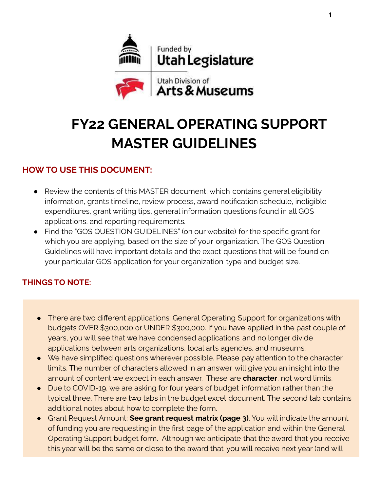

# **FY22 GENERAL OPERATING SUPPORT MASTER GUIDELINES**

# **HOWTO USE THIS DOCUMENT:**

- Review the contents of this MASTER document, which contains general eligibility information, grants timeline, review process, award notification schedule, ineligible expenditures, grant writing tips, general information questions found in all GOS applications, and reporting requirements.
- Find the "GOS QUESTION GUIDELINES" (on our website) for the specific grant for which you are applying, based on the size of your organization. The GOS Question Guidelines will have important details and the exact questions that will be found on your particular GOS application for your organization type and budget size.

# **THINGS TO NOTE:**

- There are two different applications: General Operating Support for organizations with budgets OVER \$300,000 or UNDER \$300,000. If you have applied in the past couple of years, you will see that we have condensed applications and no longer divide applications between arts organizations, local arts agencies, and museums.
- We have simplified questions wherever possible. Please pay attention to the character limits. The number of characters allowed in an answer will give you an insight into the amount of content we expect in each answer. These are **character**, not word limits.
- Due to COVID-19, we are asking for four years of budget information rather than the typical three. There are two tabs in the budget excel document. The second tab contains additional notes about how to complete the form.
- Grant Request Amount: **See grant request matrix (page 3)**. You will indicate the amount of funding you are requesting in the first page of the application and within the General Operating Support budget form. Although we anticipate that the award that you receive this year will be the same or close to the award that you will receive next year (and will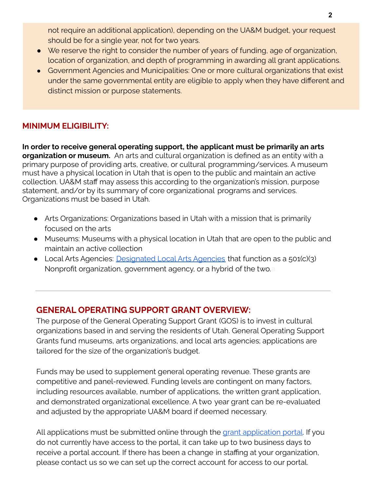not require an additional application), depending on the UA&M budget, your request should be for a single year, not for two years.

- We reserve the right to consider the number of years of funding, age of organization, location of organization, and depth of programming in awarding all grant applications.
- Government Agencies and Municipalities: One or more cultural organizations that exist under the same governmental entity are eligible to apply when they have different and distinct mission or purpose statements.

#### **MINIMUM ELIGIBILITY:**

**In order to receive general operating support, the applicant must be primarily an arts organization or museum.** An arts and cultural organization is defined as an entity with a primary purpose of providing arts, creative, or cultural programming/services. A museum must have a physical location in Utah that is open to the public and maintain an active collection. UA&M staff may assess this according to the organization's mission, purpose statement, and/or by its summary of core organizational programs and services. Organizations must be based in Utah.

- Arts Organizations: Organizations based in Utah with a mission that is primarily focused on the arts
- Museums: Museums with a physical location in Utah that are open to the public and maintain an active collection
- Local Arts Agencies: [Designated](https://artsandmuseums.utah.gov/wp-content/uploads/2018/12/2017-LAA-Designation-Form-fillable.pdf) Local Arts Agencies that function as a 501(c)(3) Nonprofit organization, government agency, or a hybrid of the two.**a**

# **GENERAL OPERATING SUPPORT GRANT OVERVIEW:**

The purpose of the General Operating Support Grant (GOS) is to invest in cultural organizations based in and serving the residents of Utah. General Operating Support Grants fund museums, arts organizations, and local arts agencies; applications are tailored for the size of the organization's budget.

Funds may be used to supplement general operating revenue. These grants are competitive and panel-reviewed. Funding levels are contingent on many factors, including resources available, number of applications, the written grant application, and demonstrated organizational excellence. A two year grant can be re-evaluated and adjusted by the appropriate UA&M board if deemed necessary.

All [application](https://utahdcc.secure.force.com/portal/)s must be submitted online through the grant application portal. If you do not currently have access to the portal, it can take up to two business days to receive a portal account. If there has been a change in staffing at your organization, please contact us so we can set up the correct account for access to our portal.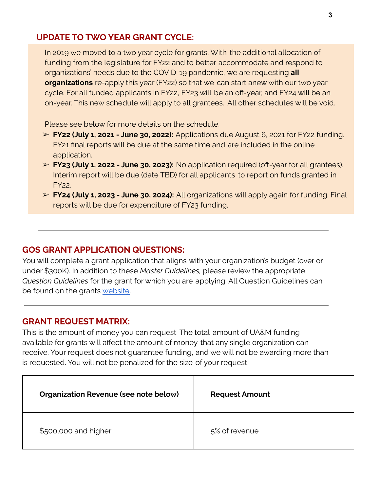### **UPDATE TO TWO YEAR GRANT CYCLE:**

In 2019 we moved to a two year cycle for grants. With the additional allocation of funding from the legislature for FY22 and to better accommodate and respond to organizations' needs due to the COVID-19 pandemic, we are requesting **all organizations** re-apply this year (FY22) so that we can start anew with our two year cycle. For all funded applicants in FY22, FY23 will be an off-year, and FY24 will be an on-year. This new schedule will apply to all grantees. All other schedules will be void.

Please see below for more details on the schedule.

- ➢ **FY22 (July 1, 2021 - June 30, 2022):** Applications due August 6, 2021 for FY22 funding. FY21 final reports will be due at the same time and are included in the online application.
- ➢ **FY23 (July 1, 2022 - June 30, 2023):** No application required (off-year for all grantees). Interim report will be due (date TBD) for all applicants to report on funds granted in FY22.
- ➢ **FY24 (July 1, 2023 - June 30, 2024):** All organizations will apply again for funding. Final reports will be due for expenditure of FY23 funding.

#### **GOS GRANT APPLICATION QUESTIONS:**

You will complete a grant application that aligns with your organization's budget (over or under \$300K). In addition to these *Master Guidelines,* please review the appropriate *Question Guidelines* for the grant for which you are applying. All Question Guidelines can be found on the grants [website.](https://artsandmuseums.utah.gov/general-operating-support-gos-grants/)

#### **GRANT REQUEST MATRIX:**

This is the amount of money you can request. The total amount of UA&M funding available for grants will affect the amount of money that any single organization can receive. Your request does not guarantee funding, and we will not be awarding more than is requested. You will not be penalized for the size of your request.

| <b>Organization Revenue (see note below)</b> | <b>Request Amount</b> |
|----------------------------------------------|-----------------------|
| \$500,000 and higher                         | 5% of revenue         |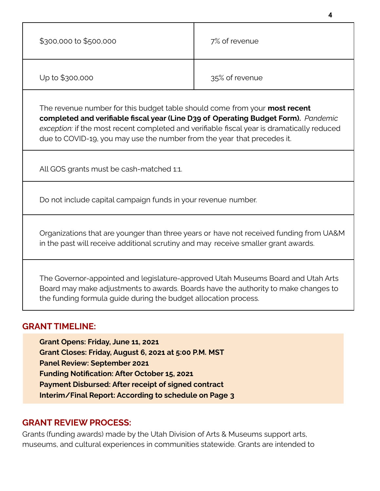| \$300,000 to \$500,000                                                                                                                                                                                                                                                                                                                    | 7% of revenue  |  |
|-------------------------------------------------------------------------------------------------------------------------------------------------------------------------------------------------------------------------------------------------------------------------------------------------------------------------------------------|----------------|--|
| Up to \$300,000                                                                                                                                                                                                                                                                                                                           | 35% of revenue |  |
| The revenue number for this budget table should come from your most recent<br>completed and verifiable fiscal year (Line D39 of Operating Budget Form). Pandemic<br>exception: if the most recent completed and verifiable fiscal year is dramatically reduced<br>due to COVID-19, you may use the number from the year that precedes it. |                |  |
| All GOS grants must be cash-matched 1:1.                                                                                                                                                                                                                                                                                                  |                |  |
| Do not include capital campaign funds in your revenue number.                                                                                                                                                                                                                                                                             |                |  |
| Organizations that are younger than three years or have not received funding from UA&M<br>in the past will receive additional scrutiny and may receive smaller grant awards.                                                                                                                                                              |                |  |
| The Governor-appointed and legislature-approved Utah Museums Board and Utah Arts<br>Board may make adjustments to awards. Boards have the authority to make changes to<br>the funding formula guide during the budget allocation process.                                                                                                 |                |  |
| <b>GRANT TIMELINE:</b>                                                                                                                                                                                                                                                                                                                    |                |  |
| Grant Opens: Friday, June 11, 2021<br>Grant Closes: Friday, August 6, 2021 at 5:00 P.M. MST<br><b>Panel Review: September 2021</b>                                                                                                                                                                                                        |                |  |

- **Funding Notification: After October 15, 2021**
- **Payment Disbursed: After receipt of signed contract**
- **Interim/Final Report: According to schedule on Page 3**

## **GRANT REVIEW PROCESS:**

Grants (funding awards) made by the Utah Division of Arts & Museums support arts, museums, and cultural experiences in communities statewide. Grants are intended to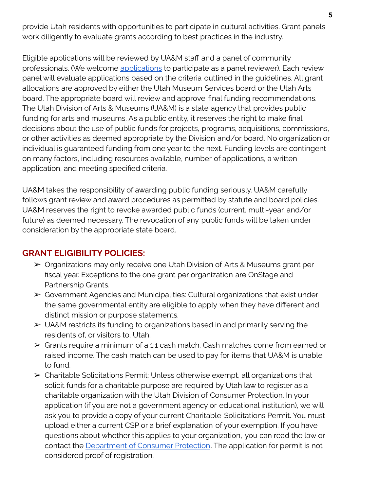provide Utah residents with opportunities to participate in cultural activities. Grant panels work diligently to evaluate grants according to best practices in the industry.

Eligible applications will be reviewed by UA&M staff and a panel of community professionals. (We welcome [applications](https://artsandmuseums.utah.gov/grantpanels/) to participate as a panel reviewer). Each review panel will evaluate applications based on the criteria outlined in the guidelines. All grant allocations are approved by either the Utah Museum Services board or the Utah Arts board. The appropriate board will review and approve final funding recommendations. The Utah Division of Arts & Museums (UA&M) is a state agency that provides public funding for arts and museums. As a public entity, it reserves the right to make final decisions about the use of public funds for projects, programs, acquisitions, commissions, or other activities as deemed appropriate by the Division and/or board. No organization or individual is guaranteed funding from one year to the next. Funding levels are contingent on many factors, including resources available, number of applications, a written application, and meeting specified criteria.

UA&M takes the responsibility of awarding public funding seriously. UA&M carefully follows grant review and award procedures as permitted by statute and board policies. UA&M reserves the right to revoke awarded public funds (current, multi-year, and/or future) as deemed necessary. The revocation of any public funds will be taken under consideration by the appropriate state board.

# **GRANT ELIGIBILITY POLICIES:**

- ➢ Organizations may only receive one Utah Division of Arts & Museums grant per fiscal year. Exceptions to the one grant per organization are OnStage and Partnership Grants.
- $\triangleright$  Government Agencies and Municipalities: Cultural organizations that exist under the same governmental entity are eligible to apply when they have different and distinct mission or purpose statements.
- ➢ UA&M restricts its funding to organizations based in and primarily serving the residents of, or visitors to, Utah.
- ➢ Grants require a minimum of a 1:1 cash match. Cash matches come from earned or raised income. The cash match can be used to pay for items that UA&M is unable to fund.
- $\triangleright$  Charitable Solicitations Permit: Unless otherwise exempt, all organizations that solicit funds for a charitable purpose are required by Utah law to register as a charitable organization with the Utah Division of Consumer Protection. In your application (if you are not a government agency or educational institution), we will ask you to provide a copy of your current Charitable Solicitations Permit. You must upload either a current CSP or a brief explanation of your exemption. If you have questions about whether this applies to your organization, you can read the law or contact the [Department](https://consumerprotection.utah.gov/businesses/charities.html) of Consumer Protection. The application for permit is not considered proof of registration.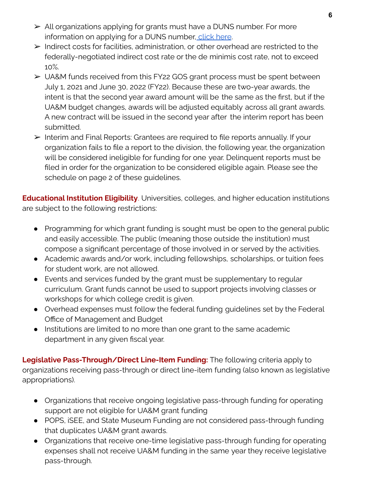- ➢ All organizations applying for grants must have a DUNS number. For more information on applying for a DUNS number, [click](https://artsandmuseums.utah.gov/wp-content/uploads/2019/01/DUNSInstructions_2017.pdf) here.
- ➢ Indirect costs for facilities, administration, or other overhead are restricted to the federally-negotiated indirect cost rate or the de minimis cost rate, not to exceed 10%.
- ➢ UA&M funds received from this FY22 GOS grant process must be spent between July 1, 2021 and June 30, 2022 (FY22). Because these are two-year awards, the intent is that the second year award amount will be the same as the first, but if the UA&M budget changes, awards will be adjusted equitably across all grant awards. A new contract will be issued in the second year after the interim report has been submitted.
- ➢ Interim and Final Reports: Grantees are required to file reports annually. If your organization fails to file a report to the division, the following year, the organization will be considered ineligible for funding for one year. Delinquent reports must be filed in order for the organization to be considered eligible again. Please see the schedule on page 2 of these guidelines.

**Educational Institution Eligibility**. Universities, colleges, and higher education institutions are subject to the following restrictions:

- Programming for which grant funding is sought must be open to the general public and easily accessible. The public (meaning those outside the institution) must compose a significant percentage of those involved in or served by the activities.
- Academic awards and/or work, including fellowships, scholarships, or tuition fees for student work, are not allowed.
- Events and services funded by the grant must be supplementary to regular curriculum. Grant funds cannot be used to support projects involving classes or workshops for which college credit is given.
- Overhead expenses must follow the federal funding guidelines set by the Federal Office of Management and Budget
- Institutions are limited to no more than one grant to the same academic department in any given fiscal year.

**Legislative Pass-Through/Direct Line-Item Funding:** The following criteria apply to organizations receiving pass-through or direct line-item funding (also known as legislative appropriations).

- Organizations that receive ongoing legislative pass-through funding for operating support are not eligible for UA&M grant funding
- POPS, iSEE, and State Museum Funding are not considered pass-through funding that duplicates UA&M grant awards.
- Organizations that receive one-time legislative pass-through funding for operating expenses shall not receive UA&M funding in the same year they receive legislative pass-through.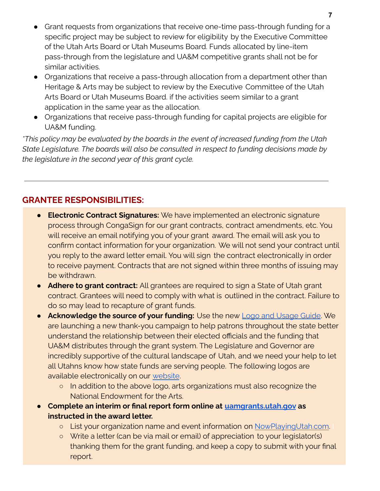- Grant requests from organizations that receive one-time pass-through funding for a specific project may be subject to review for eligibility by the Executive Committee of the Utah Arts Board or Utah Museums Board. Funds allocated by line-item pass-through from the legislature and UA&M competitive grants shall not be for similar activities.
- Organizations that receive a pass-through allocation from a department other than Heritage & Arts may be subject to review by the Executive Committee of the Utah Arts Board or Utah Museums Board. if the activities seem similar to a grant application in the same year as the allocation.
- Organizations that receive pass-through funding for capital projects are eligible for UA&M funding.

*\*This policy may be evaluated by the boards in the event of increased funding from the Utah State Legislature. The boards will also be consulted in respect to funding decisions made by the legislature in the second year of this grant cycle.*

# **GRANTEE RESPONSIBILITIES:**

- **Electronic Contract Signatures:** We have implemented an electronic signature process through CongaSign for our grant contracts, contract amendments, etc. You will receive an email notifying you of your grant award. The email will ask you to confirm contact information for your organization. We will not send your contract until you reply to the award letter email. You will sign the contract electronically in order to receive payment. Contracts that are not signed within three months of issuing may be withdrawn.
- **Adhere to grant contract:** All grantees are required to sign a State of Utah grant contract. Grantees will need to comply with what is outlined in the contract. Failure to do so may lead to recapture of grant funds.
- **Acknowledge the source of your funding:** Use the new Logo and [Usage](https://artsandmuseums.utah.gov/wp-content/uploads/2020/08/AM_LogoUsageGuide_FINAL.pdf) Guide. We are launching a new thank-you campaign to help patrons throughout the state better understand the relationship between their elected officials and the funding that UA&M distributes through the grant system. The Legislature and Governor are incredibly supportive of the cultural landscape of Utah, and we need your help to let all Utahns know how state funds are serving people. The following logos are available electronically on our [website](https://artsandmuseums.utah.gov/logos/).
	- o In addition to the above logo, arts organizations must also recognize the National Endowment for the Arts.
- **Complete an interim or final report form online at [uamgrants.utah.gov](https://utahdcc.secure.force.com/portal/) as instructed in the award letter.**
	- o List your organization name and event information on [NowPlayingUtah.com](https://www.nowplayingutah.com/how-to-submit/).
	- Write a letter (can be via mail or email) of appreciation to your legislator(s) thanking them for the grant funding, and keep a copy to submit with your final report.